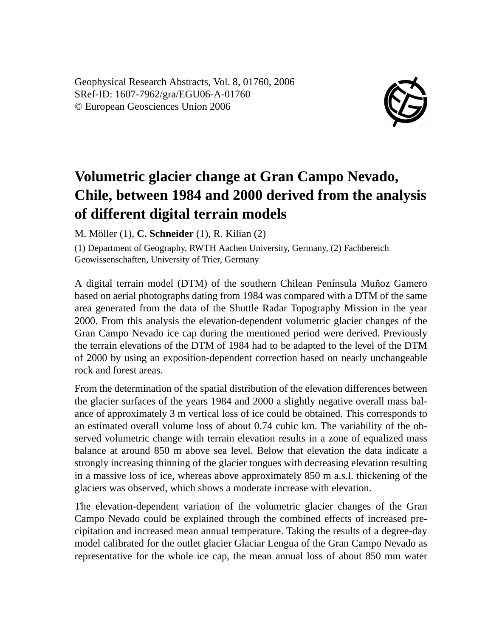Geophysical Research Abstracts, Vol. 8, 01760, 2006 SRef-ID: 1607-7962/gra/EGU06-A-01760 © European Geosciences Union 2006



## **Volumetric glacier change at Gran Campo Nevado, Chile, between 1984 and 2000 derived from the analysis of different digital terrain models**

M. Möller (1), **C. Schneider** (1), R. Kilian (2)

(1) Department of Geography, RWTH Aachen University, Germany, (2) Fachbereich Geowissenschaften, University of Trier, Germany

A digital terrain model (DTM) of the southern Chilean Península Muñoz Gamero based on aerial photographs dating from 1984 was compared with a DTM of the same area generated from the data of the Shuttle Radar Topography Mission in the year 2000. From this analysis the elevation-dependent volumetric glacier changes of the Gran Campo Nevado ice cap during the mentioned period were derived. Previously the terrain elevations of the DTM of 1984 had to be adapted to the level of the DTM of 2000 by using an exposition-dependent correction based on nearly unchangeable rock and forest areas.

From the determination of the spatial distribution of the elevation differences between the glacier surfaces of the years 1984 and 2000 a slightly negative overall mass balance of approximately 3 m vertical loss of ice could be obtained. This corresponds to an estimated overall volume loss of about 0.74 cubic km. The variability of the observed volumetric change with terrain elevation results in a zone of equalized mass balance at around 850 m above sea level. Below that elevation the data indicate a strongly increasing thinning of the glacier tongues with decreasing elevation resulting in a massive loss of ice, whereas above approximately 850 m a.s.l. thickening of the glaciers was observed, which shows a moderate increase with elevation.

The elevation-dependent variation of the volumetric glacier changes of the Gran Campo Nevado could be explained through the combined effects of increased precipitation and increased mean annual temperature. Taking the results of a degree-day model calibrated for the outlet glacier Glaciar Lengua of the Gran Campo Nevado as representative for the whole ice cap, the mean annual loss of about 850 mm water